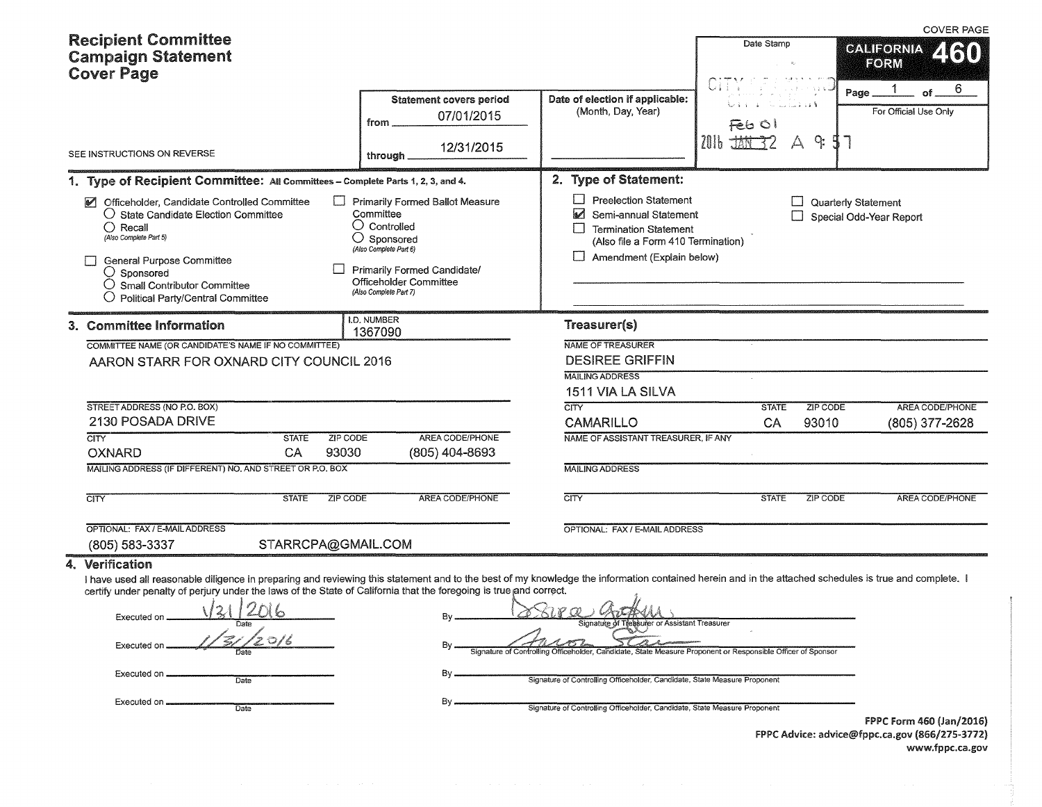| <b>Recipient Committee</b><br><b>Campaign Statement</b><br><b>Cover Page</b>                                                                                                                                                                                                                                                                                                                                                              |                                                                                                                                                                                                 |                                                                                                                                                                                                                                                                                                                                        | Date Stamp                                                                                           |                         | <b>COVER PAGE</b><br>CALIFORNIA Z (610)<br>FORM                                               |
|-------------------------------------------------------------------------------------------------------------------------------------------------------------------------------------------------------------------------------------------------------------------------------------------------------------------------------------------------------------------------------------------------------------------------------------------|-------------------------------------------------------------------------------------------------------------------------------------------------------------------------------------------------|----------------------------------------------------------------------------------------------------------------------------------------------------------------------------------------------------------------------------------------------------------------------------------------------------------------------------------------|------------------------------------------------------------------------------------------------------|-------------------------|-----------------------------------------------------------------------------------------------|
| SEE INSTRUCTIONS ON REVERSE                                                                                                                                                                                                                                                                                                                                                                                                               | <b>Statement covers period</b><br>07/01/2015<br>from<br>12/31/2015<br>through                                                                                                                   | Date of election if applicable:<br>(Month, Day, Year)                                                                                                                                                                                                                                                                                  | اللہ لا کا ک<br>الأعدع عرزتين الركاب<br>$F$ $\ge$ $\circ$ $\mid$<br>$2016$ $\pm 100$ $\overline{32}$ | $Q_{\rm r}$<br>$\Delta$ | 6<br>оf<br>Page.<br>For Official Use Only                                                     |
| 1. Type of Recipient Committee: All Committees - Complete Parts 1, 2, 3, and 4.                                                                                                                                                                                                                                                                                                                                                           |                                                                                                                                                                                                 | 2. Type of Statement:                                                                                                                                                                                                                                                                                                                  |                                                                                                      |                         |                                                                                               |
| Officeholder, Candidate Controlled Committee<br>O State Candidate Election Committee<br>$\bigcap$ Recall<br>(Also Complete Part 5)<br>General Purpose Committee<br>$\bigcirc$ Sponsored<br>$\bigcirc$ Small Contributor Committee<br>◯ Political Party/Central Committee                                                                                                                                                                  | Primarily Formed Ballot Measure<br>Committee<br>$\bigcirc$ Controlled<br>Sponsored<br>(Also Complete Part 6)<br>Primarily Formed Candidate/<br>Officeholder Committee<br>(Also Complete Part 7) | <b>Preelection Statement</b><br>☑<br>Semi-annual Statement<br><b>Termination Statement</b><br>(Also file a Form 410 Termination)<br>Amendment (Explain below)                                                                                                                                                                          |                                                                                                      |                         | Quarterly Statement<br>Special Odd-Year Report                                                |
| 3. Committee Information                                                                                                                                                                                                                                                                                                                                                                                                                  | I.D. NUMBER<br>1367090                                                                                                                                                                          | Treasurer(s)                                                                                                                                                                                                                                                                                                                           |                                                                                                      |                         |                                                                                               |
| COMMITTEE NAME (OR CANDIDATE'S NAME IF NO COMMITTEE)<br>AARON STARR FOR OXNARD CITY COUNCIL 2016                                                                                                                                                                                                                                                                                                                                          |                                                                                                                                                                                                 | NAME OF TREASURER<br><b>DESIREE GRIFFIN</b><br><b>MAILING ADDRESS</b><br>1511 VIA LA SILVA                                                                                                                                                                                                                                             |                                                                                                      |                         |                                                                                               |
| STREET ADDRESS (NO P.O. BOX)<br>2130 POSADA DRIVE                                                                                                                                                                                                                                                                                                                                                                                         |                                                                                                                                                                                                 | $\overline{\text{CITY}}$<br><b>CAMARILLO</b>                                                                                                                                                                                                                                                                                           | <b>STATE</b><br>CA                                                                                   | ZIP CODE<br>93010       | AREA CODE/PHONE<br>(805) 377-2628                                                             |
| <b>CITY</b><br><b>STATE</b><br>CA<br>93030<br><b>OXNARD</b><br>MAILING ADDRESS (IF DIFFERENT) NO. AND STREET OR P.O. BOX                                                                                                                                                                                                                                                                                                                  | AREA CODE/PHONE<br>ZIP CODE<br>(805) 404-8693                                                                                                                                                   | NAME OF ASSISTANT TREASURER, IF ANY<br><b>MAILING ADDRESS</b>                                                                                                                                                                                                                                                                          |                                                                                                      |                         |                                                                                               |
| ZIP CODE<br><b>CITY</b><br><b>STATE</b>                                                                                                                                                                                                                                                                                                                                                                                                   | <b>AREA CODE/PHONE</b>                                                                                                                                                                          | CTY                                                                                                                                                                                                                                                                                                                                    | <b>STATE</b>                                                                                         | <b>ZIP CODE</b>         | AREA CODE/PHONE                                                                               |
| OPTIONAL: FAX / E-MAIL ADDRESS<br>STARRCPA@GMAIL.COM<br>(805) 583-3337                                                                                                                                                                                                                                                                                                                                                                    |                                                                                                                                                                                                 | OPTIONAL: FAX / E-MAIL ADDRESS                                                                                                                                                                                                                                                                                                         |                                                                                                      |                         |                                                                                               |
| Verification<br>4.<br>I have used all reasonable diligence in preparing and reviewing this statement and to the best of my knowledge the information contained herein and in the attached schedules is true and complete. I<br>certify under penalty of perjury under the laws of the State of California that the foregoing is true and correct.<br>121/2016<br>Date<br>Executed or<br>Executed on<br>Date<br>Executed on<br><b>Date</b> | $D_{11}$<br>By<br>By<br>Βy                                                                                                                                                                      | Bira Gothins<br>Signature of Treasurer or Assistant Treasurer<br>Signature of Controlling Officeholder, Candidate, State Measure Proponent or Responsible Officer of Sponsor<br>Signature of Controlling Officeholder, Candidate, State Measure Proponent<br>Signature of Controlling Officeholder, Candidate, State Measure Proponent |                                                                                                      |                         | FPPC Form 460 (Jan/2016)<br>FPPC Advice: advice@fppc.ca.gov (866/275-3772)<br>www.fppc.ca.gov |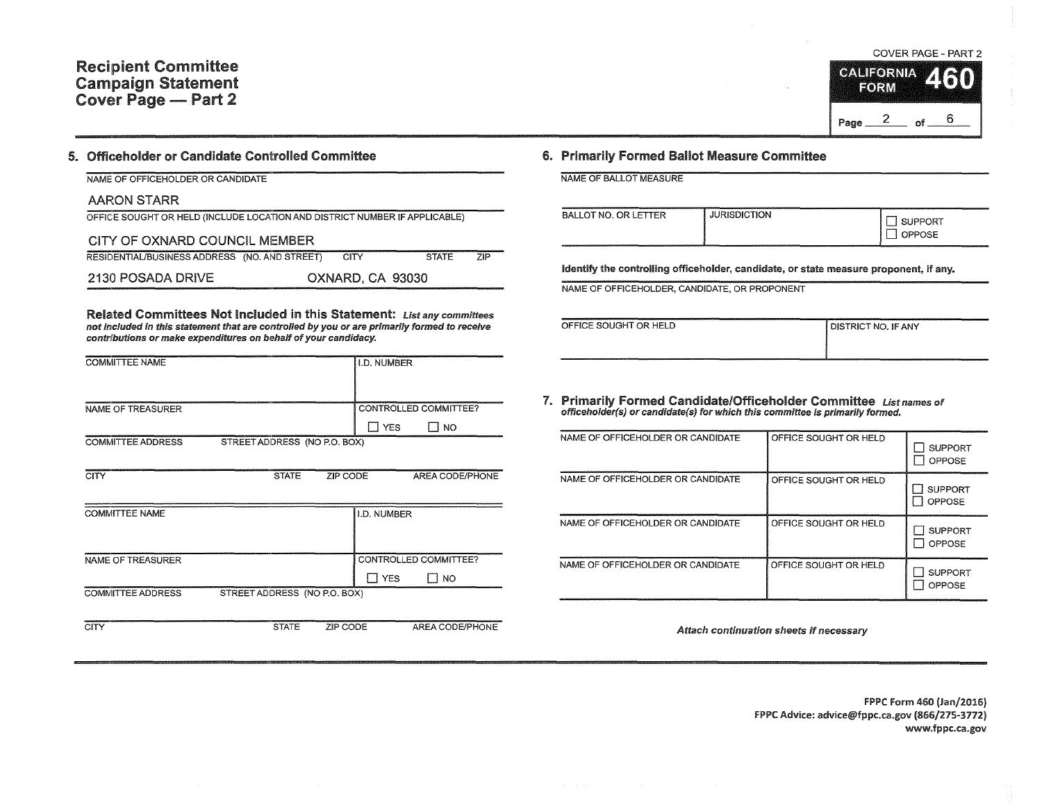## 5. Officeholder or Candidate Controlled Committee

| NAME OF OFFICEHOLDER OR CANDIDATE |  |
|-----------------------------------|--|

## AARON STARR

| OFFICE SOUGHT OR HELD (INCLUDE LOCATION AND DISTRICT NUMBER IF APPLICABLE) |      |                  |     |
|----------------------------------------------------------------------------|------|------------------|-----|
| CITY OF OXNARD COUNCIL MEMBER                                              |      |                  |     |
| RESIDENTIAL/BUSINESS ADDRESS (NO. AND STREET)                              | CITY | <b>STATE</b>     | 7IP |
| 2130 POSADA DRIVE                                                          |      | OXNARD, CA 93030 |     |

Related Committees Not Included in this Statement: List any committees not included in this statement that are controlled by you or are primarily formed to receive contributions or make expenditures *cm* behalf of your candidacy.

| <b>COMMITTEE NAME</b>    |                              |          | I.D. NUMBER  |                              |
|--------------------------|------------------------------|----------|--------------|------------------------------|
|                          |                              |          |              |                              |
|                          |                              |          |              |                              |
| NAME OF TREASURER        |                              |          |              | <b>CONTROLLED COMMITTEE?</b> |
|                          |                              |          | <b>N</b> YES | ∣ I NO                       |
| <b>COMMITTEE ADDRESS</b> | STREET ADDRESS (NO P.O. BOX) |          |              |                              |
|                          |                              |          |              |                              |
| <b>CITY</b>              | <b>STATE</b>                 | ZIP CODE |              | AREA CODE/PHONE              |
|                          |                              |          |              |                              |
| <b>COMMITTEE NAME</b>    |                              |          | I.D. NUMBER  |                              |
|                          |                              |          |              |                              |
|                          |                              |          |              |                              |
| NAME OF TREASURER        |                              |          |              | CONTROLLED COMMITTEE?        |
|                          |                              |          | I TYES       | $\Box$ No                    |
| <b>COMMITTEE ADDRESS</b> | STREET ADDRESS (NO P.O. BOX) |          |              |                              |
|                          |                              |          |              |                              |
| <b>CITY</b>              | <b>STATE</b>                 | ZIP CODE |              | AREA CODE/PHONE              |

COVER PAGE - PART 2

**CALIFORNIA** FORM Page  $2$  of 6

## 6. Primarily Formed Ballot Measure Committee

NAME OF BALLOT MEASURE

| <b>BALLOT NO. OR LETTER</b> | <b>IURISDICTION</b> | <b>SUPPORT</b><br><b>PPOSE</b> |
|-----------------------------|---------------------|--------------------------------|
|-----------------------------|---------------------|--------------------------------|

identify the controlling officeholder, candidate, or state measure proponent, if any.

NAME OF OFFICEHOLDER, CANDIDATE, OR PROPONENT

| OFFICE SOUGHT OR HELD | <b>DISTRICT NO. IF ANY</b> |  |
|-----------------------|----------------------------|--|

| ISTRICT NO. IF ANY |  |  |
|--------------------|--|--|
|                    |  |  |

1. Primarily Formed Candidate/Officeholder Committee List names of offlceholder(s) or candidate(s) for which this committee is primarily formed.

| NAME OF OFFICEHOLDER OR CANDIDATE | OFFICE SOUGHT OR HELD | <b>SUPPORT</b><br>OPPOSE        |
|-----------------------------------|-----------------------|---------------------------------|
| NAME OF OFFICEHOLDER OR CANDIDATE | OFFICE SOUGHT OR HELD | <b>SUPPORT</b><br><b>OPPOSE</b> |
| NAME OF OFFICEHOLDER OR CANDIDATE | OFFICE SOUGHT OR HELD | <b>SUPPORT</b><br>OPPOSE        |
| NAME OF OFFICEHOLDER OR CANDIDATE | OFFICE SOUGHT OR HELD | <b>SUPPORT</b><br>OPPOSE        |

Attach continuation sheets if necessary

FPPC Form 460 (Jan/2016) FPPC Advice: advice@fppc.ca.gov (866/275-3772) www.fppc.ca.gov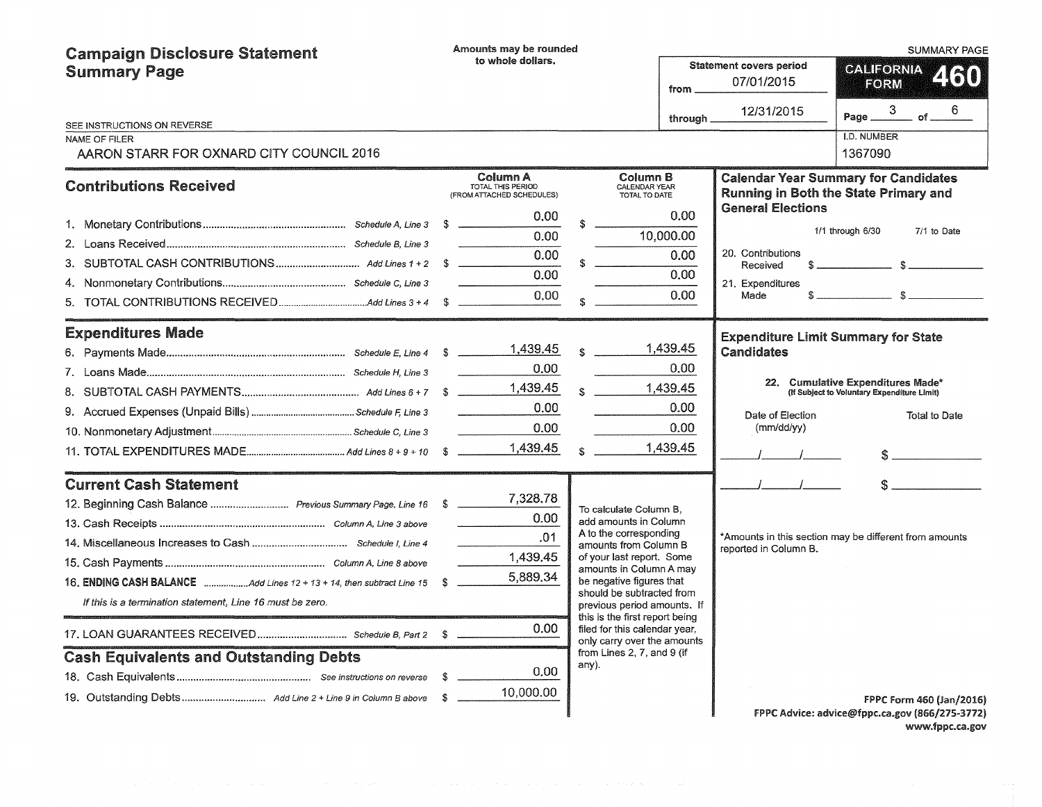| <b>Campaign Disclosure Statement</b>                      |  | Amounts may be rounded                                                    |       |                                                               |                   | <b>SUMMARY PAGE</b>                        |                                                                                      |
|-----------------------------------------------------------|--|---------------------------------------------------------------------------|-------|---------------------------------------------------------------|-------------------|--------------------------------------------|--------------------------------------------------------------------------------------|
| <b>Summary Page</b>                                       |  | to whole dollars.<br><b>Statement covers period</b><br>07/01/2015<br>from |       |                                                               |                   |                                            | <b>GALIFORNIA</b><br>2130<br>FORM                                                    |
| SEE INSTRUCTIONS ON REVERSE                               |  |                                                                           |       |                                                               | through _         | 12/31/2015                                 | 3<br>6.<br>Page_<br>of                                                               |
| NAME OF FILER                                             |  |                                                                           |       |                                                               |                   |                                            | <b>I.D. NUMBER</b>                                                                   |
| AARON STARR FOR OXNARD CITY COUNCIL 2016                  |  |                                                                           |       |                                                               |                   |                                            | 1367090                                                                              |
| <b>Contributions Received</b>                             |  | Column A<br>TOTAL THIS PERIOD<br>(FROM ATTACHED SCHEDULES)                |       | Column B<br>CALENDAR YEAR<br>TOTAL TO DATE                    |                   |                                            | <b>Calendar Year Summary for Candidates</b><br>Running in Both the State Primary and |
|                                                           |  | 0.00                                                                      |       |                                                               | 0.00              | <b>General Elections</b>                   |                                                                                      |
|                                                           |  | 0.00                                                                      |       |                                                               | 10,000.00         |                                            | 1/1 through 6/30<br>7/1 to Date                                                      |
|                                                           |  | 0.00                                                                      |       |                                                               | 0.00              | 20. Contributions                          |                                                                                      |
|                                                           |  | 0.00                                                                      |       |                                                               | 0.00              | Received                                   | $\sim$ $\sim$ $\sim$ $\sim$ $\sim$                                                   |
|                                                           |  | 0.00                                                                      |       |                                                               | 0.00              | 21. Expenditures<br>Made                   |                                                                                      |
|                                                           |  |                                                                           |       |                                                               |                   |                                            |                                                                                      |
| <b>Expenditures Made</b>                                  |  |                                                                           |       |                                                               |                   | <b>Expenditure Limit Summary for State</b> |                                                                                      |
|                                                           |  |                                                                           |       |                                                               | 1,439.45          | <b>Candidates</b>                          |                                                                                      |
|                                                           |  | 0.00 <sub>1</sub>                                                         |       |                                                               | 0.00              |                                            |                                                                                      |
|                                                           |  |                                                                           |       |                                                               | 1,439.45          |                                            | 22. Cumulative Expenditures Made*<br>(If Subject to Voluntary Expenditure Limit)     |
|                                                           |  | 0.00                                                                      |       |                                                               | 0.00              | Date of Election                           | Total to Date                                                                        |
|                                                           |  | 0.00                                                                      |       |                                                               | 0.00 <sub>1</sub> | (mm/dd/yy)                                 |                                                                                      |
|                                                           |  | 1,439.45                                                                  |       |                                                               | 1,439.45          |                                            |                                                                                      |
| <b>Current Cash Statement</b>                             |  |                                                                           |       |                                                               |                   | $I = I$                                    |                                                                                      |
|                                                           |  | 7,328.78                                                                  |       |                                                               |                   |                                            |                                                                                      |
|                                                           |  | 0.00                                                                      |       | To calculate Column B,<br>add amounts in Column               |                   |                                            |                                                                                      |
|                                                           |  | .01                                                                       |       | A to the corresponding                                        |                   |                                            | *Amounts in this section may be different from amounts                               |
|                                                           |  | 1,439.45                                                                  |       | amounts from Column B<br>of your last report. Some            |                   | reported in Column B.                      |                                                                                      |
|                                                           |  | 5,889.34                                                                  |       | amounts in Column A may<br>be negative figures that           |                   |                                            |                                                                                      |
|                                                           |  |                                                                           |       | should be subtracted from                                     |                   |                                            |                                                                                      |
| If this is a termination statement, Line 16 must be zero. |  |                                                                           |       | previous period amounts. If<br>this is the first report being |                   |                                            |                                                                                      |
|                                                           |  | 0.00                                                                      |       | filed for this calendar year,<br>only carry over the amounts  |                   |                                            |                                                                                      |
| <b>Cash Equivalents and Outstanding Debts</b>             |  |                                                                           | any). | from Lines 2, 7, and 9 (if                                    |                   |                                            |                                                                                      |
|                                                           |  | 0.00                                                                      |       |                                                               |                   |                                            |                                                                                      |
|                                                           |  | 10,000.00                                                                 |       |                                                               |                   |                                            | FPPC Form 460 (Jan/2016)                                                             |
|                                                           |  |                                                                           |       |                                                               |                   |                                            | FPPC Advice: advice@fppc.ca.gov (866/275-3772)                                       |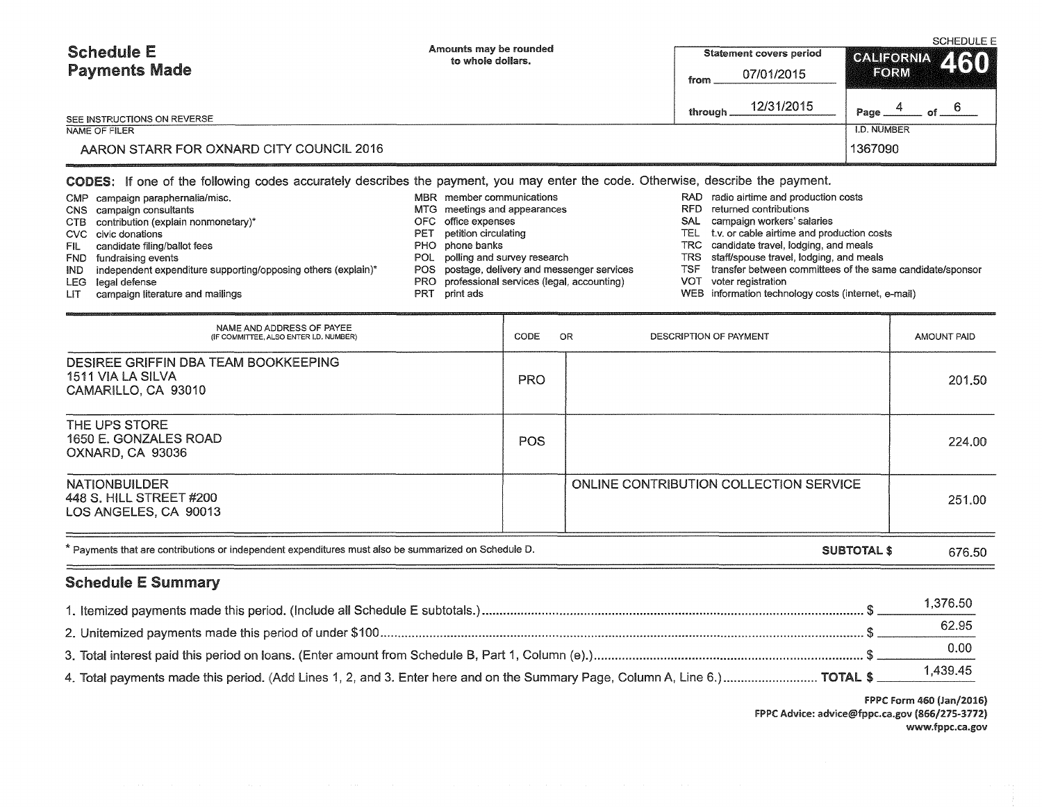| <b>Schedule E</b>                        | Amounts may be rounded<br>to whole dollars. | <b>Statement covers period</b> | SCHEDULE E<br>CALIFORNIA 460 |  |
|------------------------------------------|---------------------------------------------|--------------------------------|------------------------------|--|
| <b>Payments Made</b>                     |                                             | 07/01/2015<br>from             | <b>IFORMA</b>                |  |
| SEE INSTRUCTIONS ON REVERSE              |                                             | 12/31/2015<br>through          | Page                         |  |
| NAME OF FILER                            |                                             |                                | I.D. NUMBER                  |  |
| AARON STARR FOR OXNARD CITY COUNCIL 2016 |                                             |                                | 1367090                      |  |

CODES: If one of the following codes accurately describes the payment, you may enter the code. Otherwise, describe the payment

| CMP campaign paraphernalia/misc.                                  |     | MBR member communications                     | RAD. | radio airtime and production costs                        |
|-------------------------------------------------------------------|-----|-----------------------------------------------|------|-----------------------------------------------------------|
| CNS campaign consultants                                          |     | MTG meetings and appearances                  | RFD. | returned contributions                                    |
| CTB contribution (explain nonmonetary)*                           |     | OFC office expenses                           |      | SAL campaign workers' salaries                            |
| CVC civic donations                                               |     | <b>PET</b> petition circulating               |      | TEL t.v. or cable airtime and production costs            |
| FIL candidate filing/ballot fees                                  |     | PHO phone banks                               |      | TRC candidate travel, lodging, and meals                  |
| FND fundraising events                                            |     | POL polling and survey research               |      | TRS staff/spouse travel, lodging, and meals               |
| IND independent expenditure supporting/opposing others (explain)* |     | POS postage, delivery and messenger services  | TSF  | transfer between committees of the same candidate/sponsor |
| LEG legal defense                                                 |     | PRO professional services (legal, accounting) | VOT. | voter registration                                        |
| LIT campaign literature and mailings                              | PRT | print ads                                     |      | WEB information technology costs (internet, e-mail)       |

| NAME AND ADDRESS OF PAYEE<br>(IF COMMITTEE, ALSO ENTER I.D. NUMBER)              | CODE       | OR.<br>DESCRIPTION OF PAYMENT          | AMOUNT PAID |
|----------------------------------------------------------------------------------|------------|----------------------------------------|-------------|
| DESIREE GRIFFIN DBA TEAM BOOKKEEPING<br>1511 VIA LA SILVA<br>CAMARILLO, CA 93010 | <b>PRO</b> |                                        | 201.50      |
| THE UPS STORE<br>1650 E. GONZALES ROAD<br>OXNARD, CA 93036                       | <b>POS</b> |                                        | 224.00      |
| <b>NATIONBUILDER</b><br>448 S. HILL STREET #200<br>LOS ANGELES, CA 90013         |            | ONLINE CONTRIBUTION COLLECTION SERVICE | 251.00      |

| * Payments that are contributions or independent expenditures must also be summarized on Schedule D. | <b>SUBTOTAL \$</b><br>676.50 |
|------------------------------------------------------------------------------------------------------|------------------------------|
|------------------------------------------------------------------------------------------------------|------------------------------|

## Schedule E Summary

|                                                                                                                             | .376.50 |
|-----------------------------------------------------------------------------------------------------------------------------|---------|
|                                                                                                                             | 62.95   |
|                                                                                                                             | 0.00    |
| 4. Total payments made this period. (Add Lines 1, 2, and 3. Enter here and on the Summary Page, Column A, Line 6.) TOTAL \$ |         |

FPPC Form 460 (Jan/2016) FPPC Advice: advice@fppc.ca.gov (866/275-3772) www.fppc.ca.gov

and the company of the same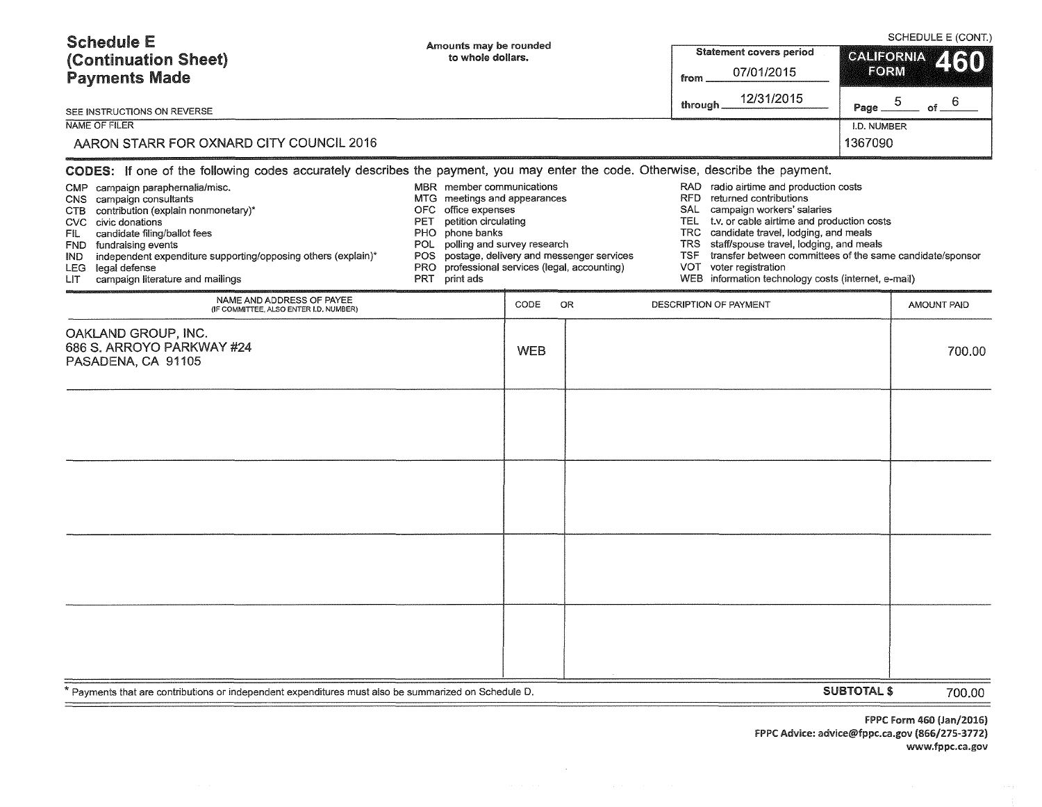| <b>Schedule E</b><br>(Continuation Sheet)<br><b>Payments Made</b>                                                                                                                                                                                                                                                                                 | Amounts may be rounded<br>to whole dollars.                                                      |                                                                                                                                                                                                                                                                                                                                                                                                                                                  | from<br>through | <b>Statement covers period</b><br>07/01/2015<br>12/31/2015                                                                                                  | <b>CALIFORNIA</b><br><b>FORM</b><br>5                     | SCHEDULE E (CONT.)     | 2130<br>-6  |        |
|---------------------------------------------------------------------------------------------------------------------------------------------------------------------------------------------------------------------------------------------------------------------------------------------------------------------------------------------------|--------------------------------------------------------------------------------------------------|--------------------------------------------------------------------------------------------------------------------------------------------------------------------------------------------------------------------------------------------------------------------------------------------------------------------------------------------------------------------------------------------------------------------------------------------------|-----------------|-------------------------------------------------------------------------------------------------------------------------------------------------------------|-----------------------------------------------------------|------------------------|-------------|--------|
| SEE INSTRUCTIONS ON REVERSE<br><b>NAME OF FILER</b>                                                                                                                                                                                                                                                                                               |                                                                                                  |                                                                                                                                                                                                                                                                                                                                                                                                                                                  |                 |                                                                                                                                                             |                                                           | Page                   | of.         |        |
| AARON STARR FOR OXNARD CITY COUNCIL 2016                                                                                                                                                                                                                                                                                                          |                                                                                                  |                                                                                                                                                                                                                                                                                                                                                                                                                                                  |                 |                                                                                                                                                             |                                                           | I.D. NUMBER<br>1367090 |             |        |
| CODES: If one of the following codes accurately describes the payment, you may enter the code. Otherwise, describe the payment.                                                                                                                                                                                                                   |                                                                                                  |                                                                                                                                                                                                                                                                                                                                                                                                                                                  |                 |                                                                                                                                                             |                                                           |                        |             |        |
| CMP campaign paraphernalia/misc.<br>CNS campaign consultants<br>contribution (explain nonmonetary)*<br>CTB.<br>CVC civic donations<br>candidate filing/ballot fees<br>FIL<br>fundraising events<br>FND.<br>independent expenditure supporting/opposing others (explain)*<br>IND.<br>LEG legal defense<br>campaign literature and mailings<br>LIT. | office expenses<br>OFC.<br>PET<br>phone banks<br>PHO.<br>POL<br>POS.<br>PRO.<br>print ads<br>PRT | MBR member communications<br>RAD radio airtime and production costs<br><b>RFD</b><br>returned contributions<br>MTG meetings and appearances<br><b>SAL</b><br>petition circulating<br>TEL.<br>TRC.<br>polling and survey research<br><b>TRS</b><br>postage, delivery and messenger services<br><b>TSF</b><br>professional services (legal, accounting)<br><b>VOT</b><br>voter registration<br>WEB information technology costs (internet, e-mail) |                 | campaign workers' salaries<br>t.v. or cable airtime and production costs<br>candidate travel, lodging, and meals<br>staff/spouse travel, lodging, and meals | transfer between committees of the same candidate/sponsor |                        |             |        |
| NAME AND ADDRESS OF PAYEE<br>(IF COMMITTEE, ALSO ENTER I.D. NUMBER)                                                                                                                                                                                                                                                                               |                                                                                                  | CODE                                                                                                                                                                                                                                                                                                                                                                                                                                             | <b>OR</b>       | DESCRIPTION OF PAYMENT                                                                                                                                      |                                                           |                        | AMOUNT PAID |        |
| OAKLAND GROUP, INC.<br>686 S. ARROYO PARKWAY #24<br>PASADENA, CA 91105                                                                                                                                                                                                                                                                            |                                                                                                  | <b>WEB</b>                                                                                                                                                                                                                                                                                                                                                                                                                                       |                 |                                                                                                                                                             |                                                           |                        |             | 700.00 |
|                                                                                                                                                                                                                                                                                                                                                   |                                                                                                  |                                                                                                                                                                                                                                                                                                                                                                                                                                                  |                 |                                                                                                                                                             |                                                           |                        |             |        |
|                                                                                                                                                                                                                                                                                                                                                   |                                                                                                  |                                                                                                                                                                                                                                                                                                                                                                                                                                                  |                 |                                                                                                                                                             |                                                           |                        |             |        |
|                                                                                                                                                                                                                                                                                                                                                   |                                                                                                  |                                                                                                                                                                                                                                                                                                                                                                                                                                                  |                 |                                                                                                                                                             |                                                           |                        |             |        |
|                                                                                                                                                                                                                                                                                                                                                   |                                                                                                  |                                                                                                                                                                                                                                                                                                                                                                                                                                                  |                 |                                                                                                                                                             |                                                           |                        |             |        |
| Payments that are contributions or independent expenditures must also be summarized on Schedule D.                                                                                                                                                                                                                                                |                                                                                                  |                                                                                                                                                                                                                                                                                                                                                                                                                                                  |                 |                                                                                                                                                             |                                                           | <b>SUBTOTAL \$</b>     |             | 700.00 |

 $\label{eq:2.1} \frac{1}{2} \sum_{i=1}^n \frac{1}{2} \sum_{j=1}^n \frac{1}{2} \sum_{j=1}^n \frac{1}{2} \sum_{j=1}^n \frac{1}{2} \sum_{j=1}^n \frac{1}{2} \sum_{j=1}^n \frac{1}{2} \sum_{j=1}^n \frac{1}{2} \sum_{j=1}^n \frac{1}{2} \sum_{j=1}^n \frac{1}{2} \sum_{j=1}^n \frac{1}{2} \sum_{j=1}^n \frac{1}{2} \sum_{j=1}^n \frac{1}{2} \sum_{j=1}^n \frac{$ 

FPPC Form 460 (Jan/2016) FPPC Advice: advice@fppc.ca.gov (866/275-3772) www.fppc.ca.gov